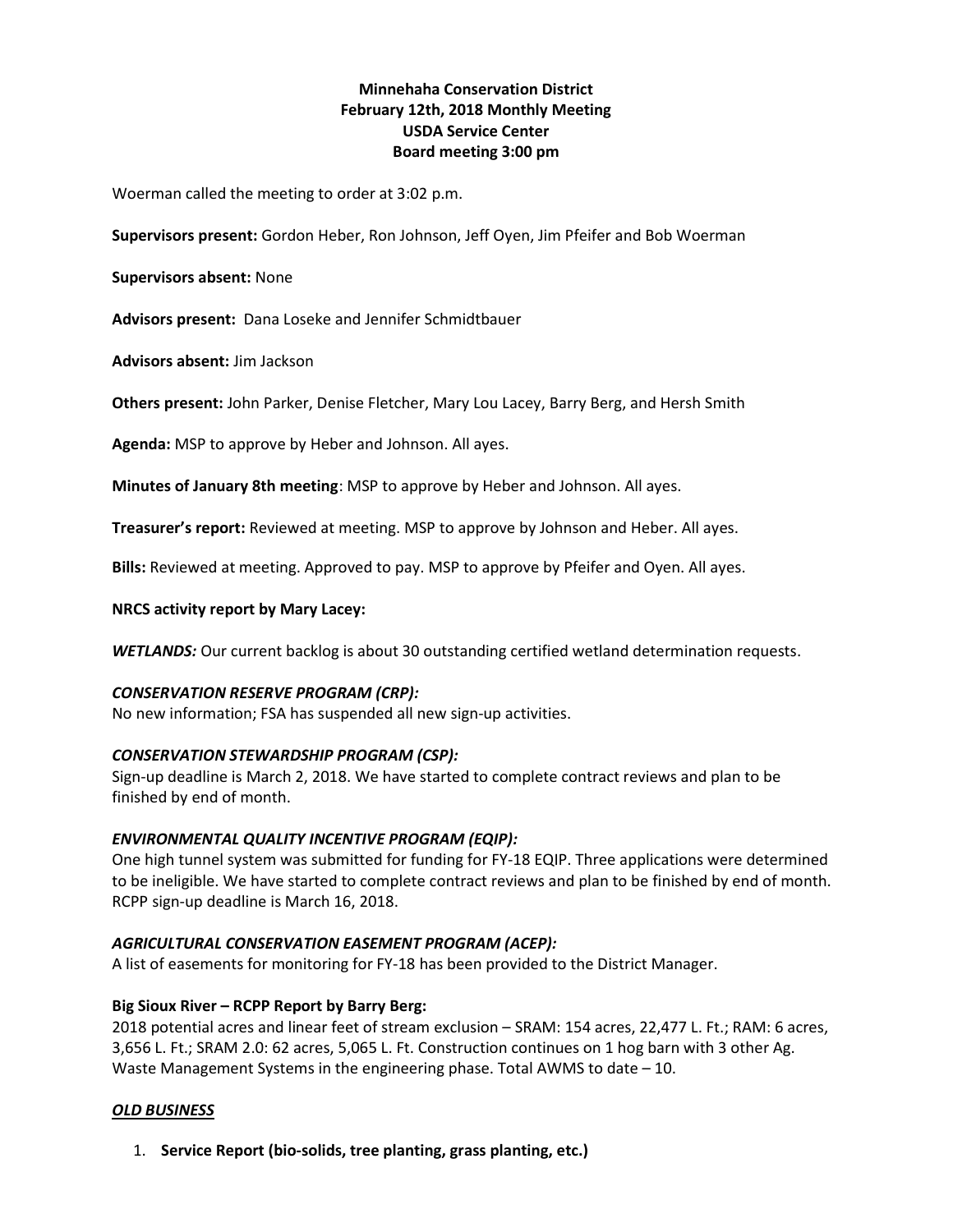# Minnehaha Conservation District February 12th, 2018 Monthly Meeting USDA Service Center Board meeting 3:00 pm

Woerman called the meeting to order at 3:02 p.m.

Supervisors present: Gordon Heber, Ron Johnson, Jeff Oyen, Jim Pfeifer and Bob Woerman

Supervisors absent: None

Advisors present: Dana Loseke and Jennifer Schmidtbauer

Advisors absent: Jim Jackson

Others present: John Parker, Denise Fletcher, Mary Lou Lacey, Barry Berg, and Hersh Smith

Agenda: MSP to approve by Heber and Johnson. All ayes.

Minutes of January 8th meeting: MSP to approve by Heber and Johnson. All ayes.

Treasurer's report: Reviewed at meeting. MSP to approve by Johnson and Heber. All ayes.

Bills: Reviewed at meeting. Approved to pay. MSP to approve by Pfeifer and Oyen. All ayes.

#### NRCS activity report by Mary Lacey:

WETLANDS: Our current backlog is about 30 outstanding certified wetland determination requests.

#### CONSERVATION RESERVE PROGRAM (CRP):

No new information; FSA has suspended all new sign-up activities.

#### CONSERVATION STEWARDSHIP PROGRAM (CSP):

Sign-up deadline is March 2, 2018. We have started to complete contract reviews and plan to be finished by end of month.

## ENVIRONMENTAL QUALITY INCENTIVE PROGRAM (EQIP):

One high tunnel system was submitted for funding for FY-18 EQIP. Three applications were determined to be ineligible. We have started to complete contract reviews and plan to be finished by end of month. RCPP sign-up deadline is March 16, 2018.

## AGRICULTURAL CONSERVATION EASEMENT PROGRAM (ACEP):

A list of easements for monitoring for FY-18 has been provided to the District Manager.

## Big Sioux River – RCPP Report by Barry Berg:

2018 potential acres and linear feet of stream exclusion – SRAM: 154 acres, 22,477 L. Ft.; RAM: 6 acres, 3,656 L. Ft.; SRAM 2.0: 62 acres, 5,065 L. Ft. Construction continues on 1 hog barn with 3 other Ag. Waste Management Systems in the engineering phase. Total AWMS to date – 10.

## OLD BUSINESS

1. Service Report (bio-solids, tree planting, grass planting, etc.)